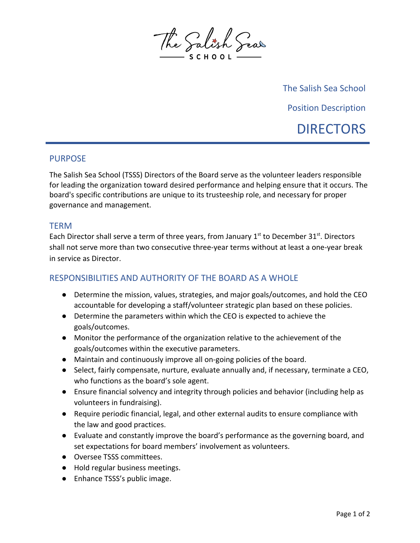

The Salish Sea School Position Description **DIRECTORS** 

## PURPOSE

The Salish Sea School (TSSS) Directors of the Board serve as the volunteer leaders responsible for leading the organization toward desired performance and helping ensure that it occurs. The board's specific contributions are unique to its trusteeship role, and necessary for proper governance and management.

## **TERM**

Each Director shall serve a term of three years, from January  $1<sup>st</sup>$  to December 31 $<sup>st</sup>$ . Directors</sup> shall not serve more than two consecutive three-year terms without at least a one-year break in service as Director.

## RESPONSIBILITIES AND AUTHORITY OF THE BOARD AS A WHOLE

- Determine the mission, values, strategies, and major goals/outcomes, and hold the CEO accountable for developing a staff/volunteer strategic plan based on these policies.
- Determine the parameters within which the CEO is expected to achieve the goals/outcomes.
- Monitor the performance of the organization relative to the achievement of the goals/outcomes within the executive parameters.
- Maintain and continuously improve all on-going policies of the board.
- Select, fairly compensate, nurture, evaluate annually and, if necessary, terminate a CEO, who functions as the board's sole agent.
- Ensure financial solvency and integrity through policies and behavior (including help as volunteers in fundraising).
- Require periodic financial, legal, and other external audits to ensure compliance with the law and good practices.
- Evaluate and constantly improve the board's performance as the governing board, and set expectations for board members' involvement as volunteers.
- Oversee TSSS committees.
- Hold regular business meetings.
- Enhance TSSS's public image.